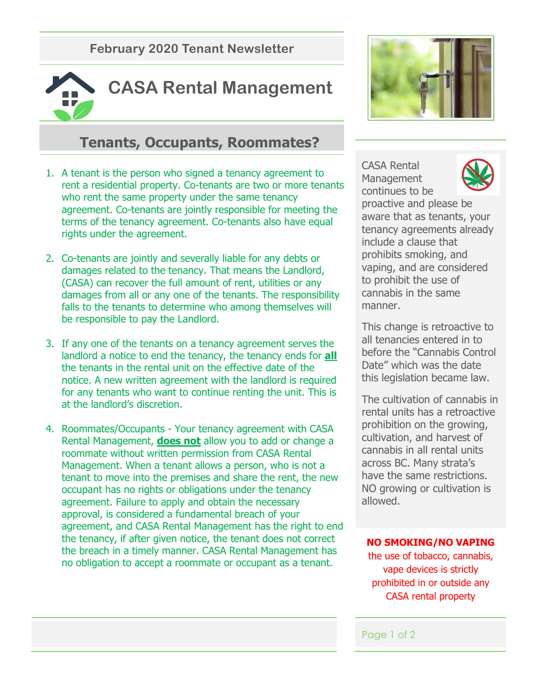**February 2020 Tenant Newsletter**



# **Tenants, Occupants, Roommates?**

- 1. A tenant is the person who signed a tenancy agreement to rent a residential property. Co-tenants are two or more tenants who rent the same property under the same tenancy agreement. Co-tenants are jointly responsible for meeting the terms of the tenancy agreement. Co-tenants also have equal rights under the agreement.
- 2. Co-tenants are jointly and severally liable for any debts or damages related to the tenancy. That means the Landlord, (CASA) can recover the full amount of rent, utilities or any damages from all or any one of the tenants. The responsibility falls to the tenants to determine who among themselves will be responsible to pay the Landlord.
- 3. If any one of the tenants on a tenancy agreement serves the landlord a notice to end the tenancy, the tenancy ends for **all** the tenants in the rental unit on the effective date of the notice. A new written agreement with the landlord is required for any tenants who want to continue renting the unit. This is at the landlord's discretion.
- 4. Roommates/Occupants Your tenancy agreement with CASA Rental Management, **does not** allow you to add or change a roommate without written permission from CASA Rental Management. When a tenant allows a person, who is not a tenant to move into the premises and share the rent, the new occupant has no rights or obligations under the tenancy agreement. Failure to apply and obtain the necessary approval, is considered a fundamental breach of your agreement, and CASA Rental Management has the right to end the tenancy, if after given notice, the tenant does not correct the breach in a timely manner. CASA Rental Management has no obligation to accept a roommate or occupant as a tenant.



CASA Rental **Management** continues to be



proactive and please be aware that as tenants, your tenancy agreements already include a clause that prohibits smoking, and vaping, and are considered to prohibit the use of cannabis in the same manner.

This change is retroactive to all tenancies entered in to before the "Cannabis Control Date" which was the date this legislation became law.

The cultivation of cannabis in rental units has a retroactive prohibition on the growing, cultivation, and harvest of cannabis in all rental units across BC. Many strata's have the same restrictions. NO growing or cultivation is allowed.

#### **NO SMOKING/NO VAPING**

the use of tobacco, cannabis, vape devices is strictly prohibited in or outside any CASA rental property

#### Page 1 of 2